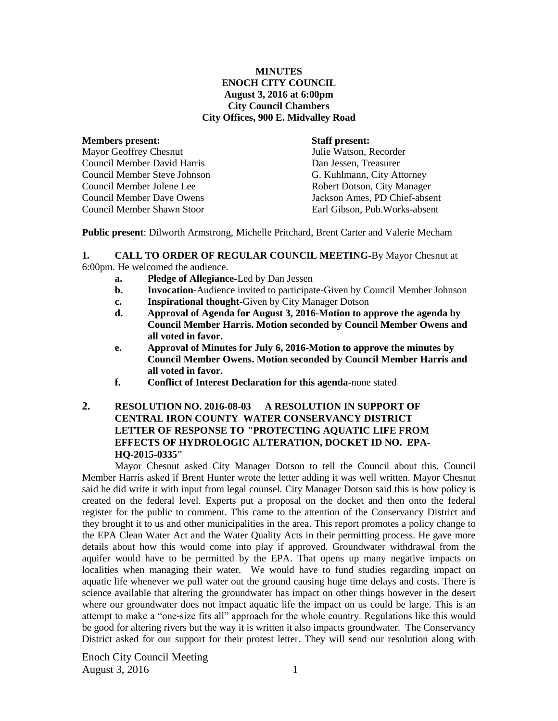### **MINUTES ENOCH CITY COUNCIL August 3, 2016 at 6:00pm City Council Chambers City Offices, 900 E. Midvalley Road**

| ivieniders present:                 |
|-------------------------------------|
| <b>Mayor Geoffrey Chesnut</b>       |
| <b>Council Member David Harris</b>  |
| <b>Council Member Steve Johnson</b> |
| Council Member Jolene Lee           |
| <b>Council Member Dave Owens</b>    |
| Council Member Shawn Stoor          |

#### **Staff present:**

Julie Watson, Recorder Dan Jessen, Treasurer G. Kuhlmann, City Attorney Robert Dotson, City Manager Jackson Ames, PD Chief-absent Earl Gibson, Pub.Works-absent

**Public present**: Dilworth Armstrong, Michelle Pritchard, Brent Carter and Valerie Mecham

**1. CALL TO ORDER OF REGULAR COUNCIL MEETING-**By Mayor Chesnut at 6:00pm. He welcomed the audience.

- **a. Pledge of Allegiance-**Led by Dan Jessen
- **b. Invocation-**Audience invited to participate-Given by Council Member Johnson
- **c. Inspirational thought-**Given by City Manager Dotson
- **d. Approval of Agenda for August 3, 2016-Motion to approve the agenda by Council Member Harris. Motion seconded by Council Member Owens and all voted in favor.**
- **e. Approval of Minutes for July 6, 2016-Motion to approve the minutes by Council Member Owens. Motion seconded by Council Member Harris and all voted in favor.**
- **f. Conflict of Interest Declaration for this agenda-**none stated

# **2. RESOLUTION NO. 2016-08-03 A RESOLUTION IN SUPPORT OF CENTRAL IRON COUNTY WATER CONSERVANCY DISTRICT LETTER OF RESPONSE TO "PROTECTING AQUATIC LIFE FROM EFFECTS OF HYDROLOGIC ALTERATION, DOCKET ID NO. EPA-HQ-2015-0335"**

Mayor Chesnut asked City Manager Dotson to tell the Council about this. Council Member Harris asked if Brent Hunter wrote the letter adding it was well written. Mayor Chesnut said he did write it with input from legal counsel. City Manager Dotson said this is how policy is created on the federal level. Experts put a proposal on the docket and then onto the federal register for the public to comment. This came to the attention of the Conservancy District and they brought it to us and other municipalities in the area. This report promotes a policy change to the EPA Clean Water Act and the Water Quality Acts in their permitting process. He gave more details about how this would come into play if approved. Groundwater withdrawal from the aquifer would have to be permitted by the EPA. That opens up many negative impacts on localities when managing their water. We would have to fund studies regarding impact on aquatic life whenever we pull water out the ground causing huge time delays and costs. There is science available that altering the groundwater has impact on other things however in the desert where our groundwater does not impact aquatic life the impact on us could be large. This is an attempt to make a "one-size fits all" approach for the whole country. Regulations like this would be good for altering rivers but the way it is written it also impacts groundwater. The Conservancy District asked for our support for their protest letter. They will send our resolution along with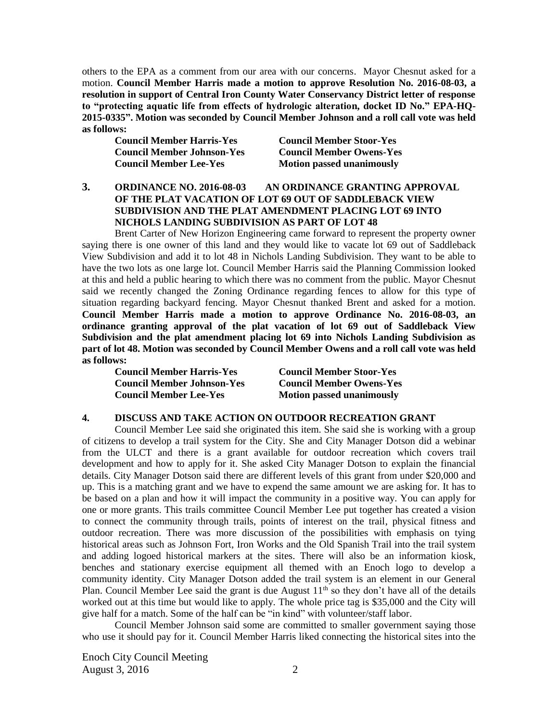others to the EPA as a comment from our area with our concerns. Mayor Chesnut asked for a motion. **Council Member Harris made a motion to approve Resolution No. 2016-08-03, a resolution in support of Central Iron County Water Conservancy District letter of response to "protecting aquatic life from effects of hydrologic alteration, docket ID No." EPA-HQ-2015-0335". Motion was seconded by Council Member Johnson and a roll call vote was held as follows:** 

**Council Member Johnson-Yes Council Member Owens-Yes Council Member Lee-Yes Motion passed unanimously**

**Council Member Harris-Yes Council Member Stoor-Yes**

## **3. ORDINANCE NO. 2016-08-03 AN ORDINANCE GRANTING APPROVAL OF THE PLAT VACATION OF LOT 69 OUT OF SADDLEBACK VIEW SUBDIVISION AND THE PLAT AMENDMENT PLACING LOT 69 INTO NICHOLS LANDING SUBDIVISION AS PART OF LOT 48**

Brent Carter of New Horizon Engineering came forward to represent the property owner saying there is one owner of this land and they would like to vacate lot 69 out of Saddleback View Subdivision and add it to lot 48 in Nichols Landing Subdivision. They want to be able to have the two lots as one large lot. Council Member Harris said the Planning Commission looked at this and held a public hearing to which there was no comment from the public. Mayor Chesnut said we recently changed the Zoning Ordinance regarding fences to allow for this type of situation regarding backyard fencing. Mayor Chesnut thanked Brent and asked for a motion. **Council Member Harris made a motion to approve Ordinance No. 2016-08-03, an ordinance granting approval of the plat vacation of lot 69 out of Saddleback View Subdivision and the plat amendment placing lot 69 into Nichols Landing Subdivision as part of lot 48. Motion was seconded by Council Member Owens and a roll call vote was held as follows:**

| Council Member Harris-Yes     |
|-------------------------------|
| Council Member Johnson-Yes    |
| <b>Council Member Lee-Yes</b> |

**Council Member Harris-Yes Council Member Stoor-Yes Council Member Owens-Yes Motion passed unanimously** 

#### **4. DISCUSS AND TAKE ACTION ON OUTDOOR RECREATION GRANT**

Council Member Lee said she originated this item. She said she is working with a group of citizens to develop a trail system for the City. She and City Manager Dotson did a webinar from the ULCT and there is a grant available for outdoor recreation which covers trail development and how to apply for it. She asked City Manager Dotson to explain the financial details. City Manager Dotson said there are different levels of this grant from under \$20,000 and up. This is a matching grant and we have to expend the same amount we are asking for. It has to be based on a plan and how it will impact the community in a positive way. You can apply for one or more grants. This trails committee Council Member Lee put together has created a vision to connect the community through trails, points of interest on the trail, physical fitness and outdoor recreation. There was more discussion of the possibilities with emphasis on tying historical areas such as Johnson Fort, Iron Works and the Old Spanish Trail into the trail system and adding logoed historical markers at the sites. There will also be an information kiosk, benches and stationary exercise equipment all themed with an Enoch logo to develop a community identity. City Manager Dotson added the trail system is an element in our General Plan. Council Member Lee said the grant is due August  $11<sup>th</sup>$  so they don't have all of the details worked out at this time but would like to apply. The whole price tag is \$35,000 and the City will give half for a match. Some of the half can be "in kind" with volunteer/staff labor.

Council Member Johnson said some are committed to smaller government saying those who use it should pay for it. Council Member Harris liked connecting the historical sites into the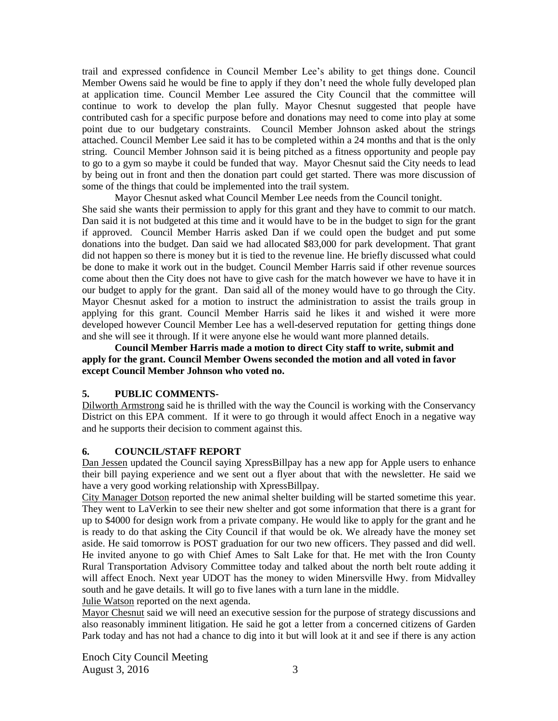trail and expressed confidence in Council Member Lee's ability to get things done. Council Member Owens said he would be fine to apply if they don't need the whole fully developed plan at application time. Council Member Lee assured the City Council that the committee will continue to work to develop the plan fully. Mayor Chesnut suggested that people have contributed cash for a specific purpose before and donations may need to come into play at some point due to our budgetary constraints. Council Member Johnson asked about the strings attached. Council Member Lee said it has to be completed within a 24 months and that is the only string. Council Member Johnson said it is being pitched as a fitness opportunity and people pay to go to a gym so maybe it could be funded that way. Mayor Chesnut said the City needs to lead by being out in front and then the donation part could get started. There was more discussion of some of the things that could be implemented into the trail system.

Mayor Chesnut asked what Council Member Lee needs from the Council tonight. She said she wants their permission to apply for this grant and they have to commit to our match. Dan said it is not budgeted at this time and it would have to be in the budget to sign for the grant if approved. Council Member Harris asked Dan if we could open the budget and put some donations into the budget. Dan said we had allocated \$83,000 for park development. That grant did not happen so there is money but it is tied to the revenue line. He briefly discussed what could be done to make it work out in the budget. Council Member Harris said if other revenue sources come about then the City does not have to give cash for the match however we have to have it in our budget to apply for the grant. Dan said all of the money would have to go through the City. Mayor Chesnut asked for a motion to instruct the administration to assist the trails group in applying for this grant. Council Member Harris said he likes it and wished it were more developed however Council Member Lee has a well-deserved reputation for getting things done and she will see it through. If it were anyone else he would want more planned details.

**Council Member Harris made a motion to direct City staff to write, submit and apply for the grant. Council Member Owens seconded the motion and all voted in favor except Council Member Johnson who voted no.** 

## **5. PUBLIC COMMENTS-**

Dilworth Armstrong said he is thrilled with the way the Council is working with the Conservancy District on this EPA comment. If it were to go through it would affect Enoch in a negative way and he supports their decision to comment against this.

## **6. COUNCIL/STAFF REPORT**

Dan Jessen updated the Council saying XpressBillpay has a new app for Apple users to enhance their bill paying experience and we sent out a flyer about that with the newsletter. He said we have a very good working relationship with XpressBillpay.

City Manager Dotson reported the new animal shelter building will be started sometime this year. They went to LaVerkin to see their new shelter and got some information that there is a grant for up to \$4000 for design work from a private company. He would like to apply for the grant and he is ready to do that asking the City Council if that would be ok. We already have the money set aside. He said tomorrow is POST graduation for our two new officers. They passed and did well. He invited anyone to go with Chief Ames to Salt Lake for that. He met with the Iron County Rural Transportation Advisory Committee today and talked about the north belt route adding it will affect Enoch. Next year UDOT has the money to widen Minersville Hwy. from Midvalley south and he gave details. It will go to five lanes with a turn lane in the middle.

Julie Watson reported on the next agenda.

Mayor Chesnut said we will need an executive session for the purpose of strategy discussions and also reasonably imminent litigation. He said he got a letter from a concerned citizens of Garden Park today and has not had a chance to dig into it but will look at it and see if there is any action